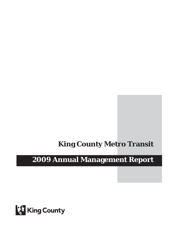# **King County Metro Transit**

# **2009 Annual Management Report**

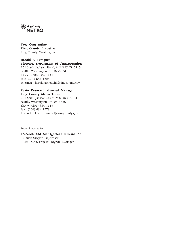

### Dow Constantine King County Executive King County, Washington

# Harold S. Taniguchi

# Director, Department of Transportation

201 South Jackson Street, M.S. KSC-TR-0815 Seattle, Washington 98104-3856 Phone: (206) 684-1441 Fax: (206) 684-1224 Internet: harold.taniguchi@kingcounty.gov

## Kevin Desmond, General Manager King County Metro Transit

201 South Jackson Street, M.S. KSC-TR-0415 Seattle, Washington 98104-3856 Phone: (206) 684-1619 Fax: (206) 684-1778 Internet: kevin.desmond@kingcounty.gov

Report Prepared by:

#### Research and Management Information

Chuck Sawyer, Supervisor Lisa Durst, Project/Program Manager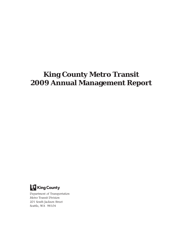# **King County Metro Transit 2009 Annual Management Report**



Department of Transportation Metro Transit Division 201 South Jackson Street Seattle, WA 98104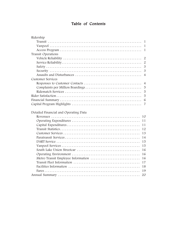# Table of Contents

| Ridership                                |
|------------------------------------------|
| -1                                       |
| $\mathbf{1}$                             |
| $\mathbf{1}$                             |
| Transit Operations                       |
| $\overline{2}$                           |
| $\overline{2}$                           |
| 3                                        |
| $\mathfrak{B}$                           |
| $\overline{4}$                           |
| <b>Customer Services</b>                 |
| $\overline{4}$                           |
| 5                                        |
| 5                                        |
| 5                                        |
| 6                                        |
| $\overline{7}$                           |
| Detailed Financial and Operating Data    |
| 10                                       |
| 11                                       |
| 11                                       |
| 12                                       |
| 13                                       |
| 14                                       |
| 15                                       |
| 15                                       |
| 16                                       |
| 16                                       |
| Metro Transit Employee Information<br>16 |
| 17                                       |
| 18                                       |
| 19                                       |
| 20                                       |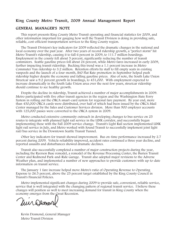# King County Metro Transit, 2009 Annual Management Report

## GENERAL MANAGER'S NOTE

This report presents King County Metro Transit operating and financial statistics for 2009, and other information important for gauging how well the Transit Division is doing in providing safe, reliable, cost-efficient transportation services to the King County region.

The Transit Division's key indicators for 2009 reflected the dramatic changes in the national and local economy over the past year. After two years of record ridership growth, a "perfect storm" hit Metro Transit's ridership, causing it to fall 6 percent in 2009, to 111.7 million boardings. Employment in the county fell about 5 percent, significantly reducing the number of transit commuters. Seattle gasoline prices fell about 24 percent, while Metro fares increased in early 2009, further impacting transit ridership. Bucking this trend was a 1.1 percent increase in Metro Commuter Van ridership-to 3.2 million. Retention efforts by staff to fill empty seats in existing vanpools and the launch of a four-month, \$40 Flat Rate promotion in September helped push ridership higher despite the economy and falling gasoline prices. Also of note, the South Lake Union Streetcar saw a 9.2 percent growth in boardings, to 451,000. With employment expected to increase dramatically in the South Lake Union area over the next few years, streetcar ridership should continue to see healthy growth.

Despite the decline in ridership, Transit achieved a number of major accomplishments in 2009. Metro participated with five other transit agencies in the region and the Washington State Ferry System in rolling out the ORCA smart-card system for regional fare payment. By year end, more than 450,000 ORCA cards were distributed, over half of which had been issued by the ORCA Mail Center managed by the Sales and Customer Services division. More than 900 employer accounts with 125,000 passes were converted to the ORCA system in 2009.

Metro conducted extensive community outreach in developing changes to bus service on 25 routes to integrate with planned light rail service in the LINK corridor, and successfully began implementing these with the Fall 2009 service change. Transit's Light Rail section implemented LINK light rail service in July, and Metro worked with Sound Transit to successfully implement joint light rail/bus service in the Downtown Seattle Transit Tunnel.

Other key indicators for transit showed improvement. Bus on-time performance increased by 2.7 percent during 2009. Vehicle reliability improved, accident rates continued a three year decline, and reported assaults and disturbances showed dramatic declines.

Transit also successfully completed a number of major construction projects during the year, including the Ryerson Base remodel, a remodel of the Revenue Processing Center, the Burien Transit Center and Redmond Park-and-Ride Garage. Transit also adopted major revisions to the Adverse Weather plan, and implemented a number of new approaches to provide customers with up-to-date information on transit service.

The January 1 fare increase helped move Metro's ratio of Operating Revenue to Operating Expense to 26.5 percent, above the 25 percent target established by the King County Council in Transit's Financial Policies.

Metro implemented significant changes during 2009 to provide safe, convenient, reliable service, service that is well integrated with the changing pattern of regional transit service. I believe these changes will position us well to meet increasing demand for transit in King County when the economy emerges from the Great Recession.

Mur Demovo

Kevin Desmond, General Manager Metro Transit Division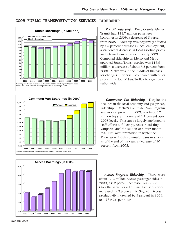# 2009 PUBLIC TRANSPORTATION SERVICES**—RIDERSHIP**







Transit Ridership. King County Metro Transit had 111.7 million passenger boardings in 2009, a decrease of 6 percent from 2008. Ridership was negatively affected by a 5 percent decrease in local employment, a 24 percent decrease in local gasoline prices, and a transit fare increase in early 2009. Combined ridership on Metro and Metrooperated Sound Transit service was 119.9 million, a decrease of about 5.5 percent from 2008. Metro was in the middle of the pack for changes in ridership compared with other peers in the top 30 bus/trolley bus agencies nationwide.

**Commuter Van Ridership.** Despite the declines in the local economy and gas prices, ridership in Metro's Commuter Van Program saw modest growth in 2009, reaching 3.2 million trips, an increase of 1.1 percent over 2008 levels. This can be largely attributed to staff efforts to fill empty seats in existing vanpools, and the launch of a four-month, "\$40 Flat Rate" promotion in September. There were 1,088 commuter vans in service as of the end of the year, a decrease of 10 percent from 2008.

Access Program Ridership. There were about 1.12 million Access passenger rides in 2009, a 0.2 percent decrease from 2008. Over the same period of time, taxi scrip rides increased by 0.8 percent to 34,320. Access productivity increased by 3 percent in 2009, to 1.73 rides per hour.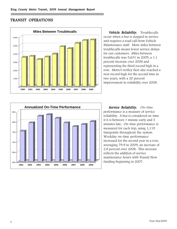# TRANSIT OPERATIONS



Vehicle Reliability. Troublecalls occur when a bus is stopped in service and requires a road call from Vehicle Maintenance staff. More miles between troublecalls means fewer service delays for our customers. Miles between troublecalls was 5,631 in 2009, a 1.1 percent increase over 2008 and representing the third record high in a row. Metro's trolley fleet also reached a new record high for the second time in two years, with a 20 percent improvement in reliability over 2008.



Service Reliability. On-time performance is a measure of service reliability. A bus is considered on-time if it is between 1 minute early and 5 minutes late. On-time performance is measured for each trip, using 1,119 timepoints throughout the system. Weekday on-time performance increased for the second year in a row, averaging 79.9 in 2009, an increase of 2.8 percent over 2008. This increase reflects the addition of service maintenance hours with Transit Now funding beginning in 2007.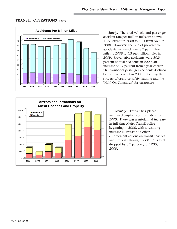# TRANSIT OPERATIONS (cont'd)



**Safety.** The total vehicle and passenger accident rate per million miles was down 11.3 percent in 2009 to 32.4 from 36.5 in 2008. However, the rate of preventable accidents increased from 8.7 per million miles to 2008 to 9.8 per million miles in 2009. Preventable accidents were 30.3 percent of total accidents in 2009, an increase of 27 percent from a year earlier. The number of passenger accidents declined by over 32 percent in 2009, reflecting the success of operator safety training and the "Hold On Campaign" for customers.



Security. Transit has placed increased emphasis on security since 2003. There was a substantial increase in full-time Metro Transit police beginning in 2006, with a resulting increase in arrests and other enforcement actions on transit coaches and property through 2008. This total dropped by 6.7 percent, to 3,093, in 2009.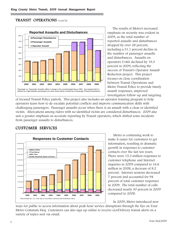# TRANSIT OPERATIONS (cont'd)



The results of Metro's increased emphasis on security was evident in 2009, as the total number of reported assaults and disturbances dropped by over 28 percent, including a 31.1 percent decline in the number of passenger assaults and disturbances. Assaults on operators (146) declined by 19.3 percent in 2009, reflecting the success of Transit's Operator Assault Reduction project. This project focuses on close coordination between Transit Operations and Metro Transit Police to provide timely assault responses, improved investigation follow-up and targeting

of focused Transit Police patrols. This project also includes an operator training program to help operators learn how to de-escalate potential conflicts and improve communication skills with challenging passengers. Passenger assaults occur when there is an assault with a clear or identified victim. Altercations among riders with no identified victim are considered disturbances. 2009 also saw a greater emphasis on accurate reporting by Transit operators, which shifted some incidents from passenger assaults to disturbances.

# CUSTOMER SERVICES



Metro is continuing work to make it easier for customers to get information, resulting in dramatic growth in responses to customer contacts over the last ten years. There were 15.3 million responses to customer telephone and Internet inquiries in 2009 compared to 16.6 million in 2008, a decrease of 8.2 percent. Internet sessions decreased 7 percent and accounted for 94 percent of total customer responses in 2009. The total number of calls decreased nearly 30 percent in 2009 compared to 2008.

In 2009, Metro introduced new

ways for public to access information about peak hour service disruptions through the Eye on Your Metro Commute blog Customers can also sign up online to receive GovDelivery transit alerts on a variety of topics sent via email.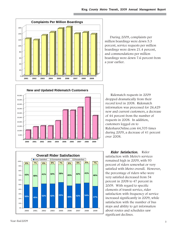

During 2009, complaints per million boardings were down 5.3 percent, service requests per million boardings were down 21.4 percent, and commendations per million boardings were down 7.6 percent from a year earlier.



Ridematch requests in 2009 dropped dramatically from their record level in 2008. Ridematch information was processed for 26,429 new and current customers, a decrease of 44 percent from the number of requests in 2008. In addition, customers logged on to RideshareOnline.com 64,705 times during 2009, a decrease of 41 percent over 2008.



Rider Satisfaction. Rider satisfaction with Metro's services remained high in 2009, with 93 percent of riders somewhat or very satisfied with Metro overall. However, the percentage of riders who were very satisfied decreased from 54 percent in 2008 to 47 percent in 2009. With regard to specific elements of transit service, rider satisfaction with frequency of service increased significantly in 2009, while satisfaction with the number of bus stops and ability to get information about routes and schedules saw significant declines.

n% 10% 20% 30% 40% 50% 60% 70% 80% 90% 100%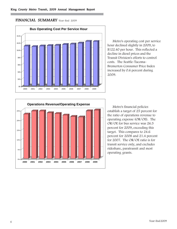# FINANCIAL SUMMARY–Year-End 2009



Metro's operating cost per service hour declined slightly in 2009, to \$122.40 per hour. This reflected a decline in diesel prices and the Transit Division's efforts to control costs. The Seattle-Tacoma-Bremerton Consumer Price Index increased by 0.6 percent during 2009.



Metro's financial policies establish a target of 25 percent for the ratio of operations revenue to operating expense (OR/OE). The OR/OE for bus service was 26.5 percent for 2009, exceeding this target. This compares to 24.6 percent for 2008 and 21.4 percent for 2007. The OR/OE ratio is for transit service only, and excludes rideshare, paratransit and most operating grants.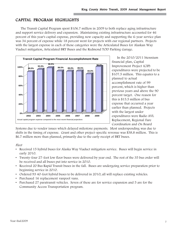# CAPITAL PROGRAM HIGHLIGHTS

The Transit Capital Program spent \$106.7 million in 2009 to both replace aging infrastructure and support service delivery and expansion. Maintaining existing infrastructure accounted for 46 percent of this year's capital expense, providing new capacity and supporting the 6-year service plan was 34 percent of expense while 18 percent went for projects with our regional partners. Projects with the largest expense in each of those categories were the Articulated Buses for Alaskan Way Viaduct mitigation, Articulated BRT Buses and the Redmond TOD Parking Garage.



In the 2010/2011 biennium financial plan, Capital Improvement Project (CIP) expenditures were projected to be \$107.5 million. This equates to a planned to actual accomplishment rate of 99 percent, which is higher than previous years and above the 90 percent target. One reason for this is \$15.5 million of bus expense that occurred a year earlier than planned. Projects with the largest under expenditures were Radio AVL Replacement, Regional Fare Coordination and On Board

Systems due to vendor issues which delayed milestone payments. Most underspending was due to shifts in the timing of expense. Grant and other project-specific revenue was \$38.8 million. This is \$6.7 million more than planned, primarily due to the early receipt of BRT buses.

#### Fleet

- Received 15 hybrid buses for Alaska Way Viaduct mitigation service. Buses will begin service in early 2010.
- Twenty-four 27-foot low floor buses were delivered by year end. The rest of the 35 bus order will be received and all buses put into service in 2010.
- Received 20 Bus Rapid Transit buses in the fall. Buses are undergoing service preparation prior to beginning service in 2010.
- Ordered 93 40-foot hybrid buses to be delivered in 2010; all will replace existing vehicles.
- Purchased 16 replacement vanpool vans.
- Purchased 27 paratransit vehicles. Seven of these are for service expansion and 5 are for the Community Access Transportation program.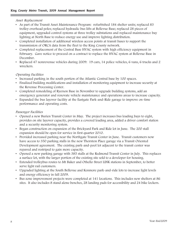### Asset Replacement

- As part of the Transit Asset Maintenance Program: refurbished 184 shelter units; replaced 83 trolley overhead poles; replaced hydraulic bus lifts at Bellevue Base; replaced 28 pieces of equipment, upgraded control systems at three trolley substations and replaced maintenance bay lighting at North Base to reduce energy use and improve lighting distribution.
- Completed installation of additional wireless access points at transit bases to support the transmission of ORCA data from the fleet to the King County network.
- Completed replacement of the Central Base HVAC system with high efficiency equipment in February. Gave notice to proceed on a contract to replace the HVAC system at Bellevue Base in December.
- Replaced 47 nonrevenue vehicles during 2009: 19 cars, 14 police vehicles, 6 vans, 6 trucks and 2 wreckers.

# Operating Facilities

- Increased parking in the south portion of the Atlantic Central base by 100 spaces.
- Finalized building modifications and installation of monitoring equipment to increase security at the Revenue Processing Center.
- Completed remodeling of Ryerson Base in November to upgrade building systems, add an emergency generator and renovate vehicle maintenance and operations areas to increase capacity.
- Expanded the bus layover facility at the Eastgate Park-and-Ride garage to improve on-time performance and operating costs.

## Passenger Facilities

- Opened a new Burien Transit Center in May. The project increases bus loading bays to eight, provides on site layover capacity, provides a covered loading area, added a driver comfort station and a security monitoring system.
- Began construction on expansion of the Brickyard Park and Ride lot in June. The 200 stall expansion should be open for service in first quarter 2010.
- Provided increased parking near the Northgate Transit Center in June. Transit customers now have access to 350 parking stalls in the new Thornton Place garage via a Transit Oriented Development agreement. The existing park-and-pool lot adjacent to the transit center was repaved and restriped to gain more capacity.
- Opened a new parking garage with 385 stalls at the Redmond Transit Center in July. This replaces a surface lot, with the larger portion of the existing site sold to a developer for housing.
- Extended trolleybus routes to Mt Baker and Othello Street LINK stations in September, to better serve light rail customers.
- Upgraded lighting at the South Bellevue and Kenmore park-and-ride lots to increase light levels and energy efficiency in fall 2009.
- Bus zone improvement projects were completed at 141 locations. This includes new shelters at 86 sites. It also includes 8 stand alone benches, 28 landing pads for accessibility and 24 bike lockers.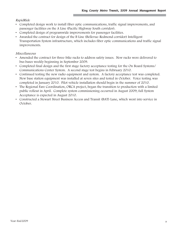## RapidRide

- Completed design work to install fiber optic communications, traffic signal improvements, and passenger facilities on the A Line (Pacific Highway South corridor).
- Completed design of programwide improvements for passenger facilities.
- Awarded the contract for design of the B Line (Bellevue-Redmond corridor) Intelligent Transportation System infrastructure, which includes fiber optic communications and traffic signal improvements.

## Miscellaneous

- Amended the contract for three-bike racks to address safety issues. New racks were delivered to bus bases weekly beginning in September 2009.
- Completed final design and the first stage factory acceptance testing for the On Board Systems/ Communications Center System. A second stage test begins in February 2010.
- Continued testing the new radio equipment and system. A factory acceptance test was completed. New base station equipment was installed at seven sites and tested in October. Voice testing was completed in January 2010. Pilot vehicle installation should begin in the summer of 2010.
- The Regional Fare Coordination, ORCA project, began the transition to production with a limited public rollout in April. Complete system commissioning occurred in August 2009; full System Acceptance is expected in August 2010.
- Constructed a Stewart Street Business Access and Transit (BAT) Lane, which went into service in October.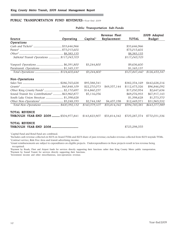#### PUBLIC TRANSPORTATION FUND REVENUES-Year-End 2009

| Source                                                    | Operating | Capital <sup>1</sup> | Revenue Fleet<br>Replacement | <b>TOTAL</b>  | 2009 Adopted<br><b>Budget</b> |
|-----------------------------------------------------------|-----------|----------------------|------------------------------|---------------|-------------------------------|
| Operations                                                |           |                      |                              |               |                               |
|                                                           |           |                      |                              | \$33,646,966  |                               |
|                                                           |           |                      |                              | \$75,015,602  |                               |
|                                                           |           |                      |                              | \$8,383,135   |                               |
| Subtotal Transit Operations  \$117,045,703                |           |                      |                              | \$117,045,703 |                               |
|                                                           |           | \$3,244,800          |                              | \$9,636,600   |                               |
| Paratransit Operations  \$1,165,137                       |           |                      |                              | \$1,165,137   |                               |
|                                                           |           | \$3,244,800          |                              | \$127,847,440 | \$126,453,347                 |
| Non-Operations                                            |           |                      |                              |               |                               |
|                                                           |           | \$95,588,541         |                              | \$382,354,169 | \$442,628,216                 |
|                                                           |           | \$22,270,073         | \$49,357,144                 | \$112,475,326 | \$96,846,092                  |
| Other King County Funds <sup>5</sup> \$2,170,697          |           | \$14,860,257         |                              | \$17,030,954  | \$2,647,636                   |
| Sound Transit Svc Contributions <sup>6</sup> \$63,960,877 |           | \$5,116,056          |                              | \$69,076,933  | \$67,917,143                  |
| South Lake Union Streetcar  \$1,398,628                   |           |                      |                              | \$1,398,628   | \$1,573,370                   |
| Other Non-Operations <sup>7</sup> \$5,248,193             |           | \$2,744,180          | \$4,457,198                  | \$12,449,571  | \$31,965,532                  |
| Total Non-Operations  \$400,392,132                       |           | \$140,579,107        | \$53,814,342                 | \$594,785,581 | \$643,577,989                 |
| <b>TOTAL REVENUE</b>                                      |           |                      |                              |               |                               |
| THROUGH YEAR-END 2009  \$504,977,841                      |           | \$143,823,907        | \$53,814,342                 | \$705,287,574 | \$770,031,336                 |
| <b>TOTAL REVENUE</b>                                      |           |                      |                              |               |                               |
|                                                           |           |                      |                              | \$725,298,555 |                               |

#### Public Transportation Sub-Funds

1 Capital Fund and Bond Fund are combined.

2 Includes cash revenue collected on SLUS on-board TVMs and SLUS share of pass revenue; excludes revenue collected from SLUS wayside TVMs. 3 Contract service, Ride Free Area and transit advertising income.

4 Grant reimbursements are subject to expenditures on eligible projects. Underexpenditures in these projects result in less revenue being recognized.

5 Payment by Roads, Fleet and Airport funds for services directly supporting their functions rather than King County Metro public transportation. 6 Payment by Sound Transit for services directly supporting their functions.

7 Investment income and other miscellaneous, non-operations revenue.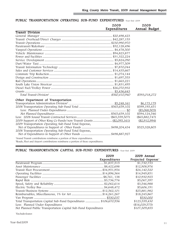|                                                                                     | 2009         | 2009             |  |
|-------------------------------------------------------------------------------------|--------------|------------------|--|
|                                                                                     | Expenditures | Annual Budget    |  |
| <b>Transit Division</b>                                                             |              |                  |  |
|                                                                                     |              |                  |  |
|                                                                                     |              |                  |  |
|                                                                                     |              |                  |  |
|                                                                                     |              |                  |  |
|                                                                                     |              |                  |  |
|                                                                                     |              |                  |  |
|                                                                                     |              |                  |  |
|                                                                                     |              |                  |  |
|                                                                                     |              |                  |  |
|                                                                                     |              |                  |  |
|                                                                                     |              |                  |  |
|                                                                                     |              |                  |  |
|                                                                                     |              |                  |  |
|                                                                                     |              |                  |  |
|                                                                                     |              |                  |  |
|                                                                                     |              |                  |  |
|                                                                                     |              |                  |  |
|                                                                                     |              | \$593,018,272    |  |
| Other Department of Transportation                                                  |              |                  |  |
|                                                                                     |              | \$6,175,179      |  |
|                                                                                     |              | \$599,193,451    |  |
|                                                                                     |              | (\$5,068,905)    |  |
|                                                                                     |              | \$594,124,546    |  |
|                                                                                     |              | $(\$65,882,747)$ |  |
|                                                                                     |              | (\$2,912,994)    |  |
| 2009 Transportation Operating Sub-Fund Total Expense,                               |              |                  |  |
|                                                                                     |              | \$525,328,805    |  |
| 2008 Transportation Operating Sub-Fund Total Expense,                               |              |                  |  |
|                                                                                     |              |                  |  |
| <sup>1</sup> Sound Transit contributions reimburse a portion of these expenditures. |              |                  |  |

### PUBLIC TRANSPORTATION OPERATING SUB-FUND EXPENDITURES-Year-End 2009

Г

2 Roads, Fleet and Airport contributions reimburse a portion of these expenditures.

# PUBLIC TRANSPORTATION CAPITAL SUB-FUND EXPENDITURES-Year-End 2009

|                                                                  | 2009<br>Expenditures | 2009 Annual<br>Projected Expense <sup>1</sup> |
|------------------------------------------------------------------|----------------------|-----------------------------------------------|
|                                                                  |                      | \$1,730,733                                   |
|                                                                  |                      | \$12,908,976                                  |
|                                                                  |                      | \$24,140,520                                  |
|                                                                  |                      | \$14,949,851                                  |
|                                                                  |                      | \$10,930,925                                  |
|                                                                  |                      | \$5,067,397                                   |
|                                                                  |                      | \$3,546,988                                   |
|                                                                  |                      | \$5,606,191                                   |
|                                                                  |                      | \$25,881,982                                  |
|                                                                  |                      | \$18,245,867                                  |
|                                                                  |                      | \$530,000                                     |
| Total Transportation Capital Sub-Fund Expenditures \$106,670,936 |                      | \$123,539,430                                 |
| Less: Planned Under-Expenditures                                 |                      | (\$16,029,575)                                |
| Net Planned Public Transportation Capital Sub-Fund Expenditures  |                      | \$107,509,855                                 |

1 Excludes leases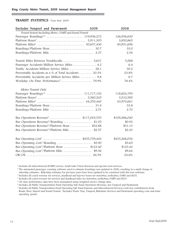#### TRANSIT STATISTICS—Year-End 2009

| Excludes Vanpool and Paratransit                            | 2009 | 2008          |  |
|-------------------------------------------------------------|------|---------------|--|
| Transit System Including Metro, DART and Sound Transit      |      |               |  |
|                                                             |      | 126,936,630   |  |
|                                                             |      | 3,850,865     |  |
|                                                             |      | 49,951,696    |  |
|                                                             |      | 33.0          |  |
|                                                             |      | 2.54          |  |
|                                                             |      | 5,568         |  |
| Passenger Accidents/Million Service Miles  4.2              |      | 6.4           |  |
| Traffic Accidents/Million Service Miles 28.1                |      | 30.2          |  |
| Preventable Accidents as a % of Total Accidents  30.3%      |      | 23.8%         |  |
| Preventable Accidents per Million Service Miles  9.8        |      | 8.7           |  |
|                                                             |      | 78.4%         |  |
| Metro Transit Only                                          |      |               |  |
|                                                             |      | 118,824,795   |  |
|                                                             |      | 3,510,585     |  |
|                                                             |      | 43,970,661    |  |
|                                                             |      | 33.8          |  |
|                                                             |      | 2.70          |  |
| Bus Operations Revenue <sup>6</sup> \$117,045,703           |      | \$109,286,040 |  |
| Bus Operations Revenue <sup>6</sup> /Boarding \$1.05        |      | \$0.92        |  |
| Bus Operations Revenue <sup>6</sup> /Platform Hour  \$32.88 |      | \$31.13       |  |
| Bus Operations Revenue <sup>6</sup> /Platform Mile  \$2.57  |      | \$2.43        |  |
| Bus Operating $Cost^7$ \$435,759,442                        |      | \$433,268,054 |  |
| Bus Operating Cost <sup>7</sup> /Boarding  \$3.90           |      | \$3.65        |  |
| Bus Operating Cost <sup>7</sup> /Platform Hour  \$122.40    |      | \$123.42      |  |
| Bus Operating Cost <sup>7</sup> /Platform Mile\$9.56        |      | \$9.64        |  |
|                                                             |      | 24.6%         |  |

<sup>1</sup> Includes all subcontracted (DART) service, South Lake Union Streetcar and special event services.

<sup>2</sup> The automated passenger counting software used to estimate boardings was updated in 2006, resulting in a small change in ridership estimates. Ridership estimates for previous years have been updated to be consistent with this new software.

<sup>3</sup> Includes all coach revenue (in service), deadhead and layover hours for motorbus, trolleybus, DART and SLUS.

<sup>4</sup> Includes all coach revenue (in service) and deadhead miles for motorbus, trolleybus, DART and SLUS.

<sup>5</sup> On-time performance data have been annualized using weighted service change data.

<sup>6</sup> Includes all Public Transportation Fund Operating Sub-Fund Operations Revenue, less Vanpool and Paratransit.

<sup>7</sup> Includes all Public Transportation Fund Operating Sub-Fund Expense and Subcontracted Services Costs less contributions from Roads, Fleet, Airport and Sound Transit. Excludes Water Taxi, Vanpool, Rideshare Services and Paratransit operating costs and some operating grants.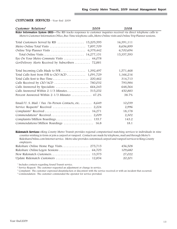#### CUSTOMER SERVICES—Year-End 2009

| Customer Relations <sup>1</sup>                                                                                      | 2009 | 2008       |  |
|----------------------------------------------------------------------------------------------------------------------|------|------------|--|
| Rider Information System (RIS)—The RIS tracks responses to customer inquiries received via direct telephone calls to |      |            |  |
| Metro's Customer Information Office, Bus-Time telephone calls, Metro Online visits and Online Trip Planner sessions. |      |            |  |
|                                                                                                                      |      | 16,391,111 |  |
|                                                                                                                      |      | 8,656,899  |  |
|                                                                                                                      |      | 6,700,694  |  |
|                                                                                                                      |      | 15,357,593 |  |
| Eye On Your Metro Commute Visits  44,078                                                                             |      |            |  |
| GovDelivery Alerts Received by Subscribers  72,881                                                                   |      |            |  |
|                                                                                                                      |      | 1,571,468  |  |
|                                                                                                                      |      | 1,166,216  |  |
|                                                                                                                      |      | 314,713    |  |
|                                                                                                                      |      | 793,984    |  |
|                                                                                                                      |      | 648,564    |  |
| Calls Answered Within $2-1/3$ Minutes 515,252                                                                        |      | 450,883    |  |
| Percent Answered Within 2-1/3 Minutes  47.2%                                                                         |      | 38.7%      |  |
| Email/U. S. Mail / Fax /In-Person Contacts, etc. $\dots \dots$ 8,649                                                 |      | 10,039     |  |
|                                                                                                                      |      | 2,996      |  |
|                                                                                                                      |      | 18,178     |  |
|                                                                                                                      |      | 2,302      |  |
|                                                                                                                      |      | 143.2      |  |
| Commendations/Million Boardings  16.8                                                                                |      | 18.1       |  |

Ridematch Services—King County Metro Transit provides regional computerized matching services to individuals in nine counties wishing to form or join a carpool or vanpool. Contacts are made by telephone, mail and through Metro's RideshareOnline.com Internet service. Metro also provides customized carpool and vanpool services to King County employers.

|  | 456,508 |
|--|---------|
|  | 109,680 |
|  | 27,022  |
|  | 20,201  |

<sup>1</sup> Includes contacts regarding Sound Transit service.

<sup>2</sup> Service Request: The customer requested an adjustment or change in service.

<sup>3</sup> Complaint: The customer expressed dissatisfaction or discontent with the service received or with an incident that occurred.

<sup>3</sup> Commendation: The customer commended the operator for service provided.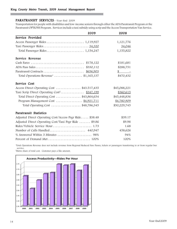#### PARATRANSIT SERVICES—Year-End 2009

Transportation for people with disabilities and low-income seniors through either the ADA Paratransit Program or the Paratransit OPTIONS Program. Services include a taxi subsidy using scrip and the Access Transportation Van Service.

|                                                         | 2009 | 2008           |  |
|---------------------------------------------------------|------|----------------|--|
| Service Provided                                        |      |                |  |
|                                                         |      | 1,121,776      |  |
|                                                         |      | 34,046         |  |
|                                                         |      | 1,155,822      |  |
| Service Revenue                                         |      |                |  |
|                                                         |      | \$181,681      |  |
| ADA Pass Sales \$330,112                                |      | \$288,751      |  |
|                                                         |      | $\mathbb{S}$ - |  |
| Total Operations Revenue <sup>1</sup> \$1,165,137       |      | \$470,432      |  |
| Service Cost                                            |      |                |  |
| Access Direct Operating Cost \$43.517,435               |      | \$45,088,221   |  |
| Taxi Scrip Direct Operating Cost <sup>2</sup> \$347,199 |      | \$360,615      |  |
| Total Direct Operating Cost  \$43,864,634               |      | \$45,448,836   |  |
| Program Management Cost  \$4,921,711                    |      | \$4,780,909    |  |
| Total Operating Cost \$48,786,345                       |      | \$50,229,745   |  |
| Paratransit Statistics                                  |      |                |  |
| Adjusted Direct Operating Cost/Access Psgr Ride \$38.48 |      | \$39.17        |  |
| Adjusted Direct Operating Cost/Taxi Psgr Ride  \$9.86   |      | \$9.98         |  |
|                                                         |      | 1.68           |  |
| Number of Calls Handled 440,947                         |      | 458,626        |  |
| % Answered Within 3 Minutes  98%                        |      | 94%            |  |
|                                                         |      | 100%           |  |

1 Total Operations Revenue does not include revenue from Regional Reduced Fare Passes, tickets or passengers transferring to or from regular bus service.

2 Metro share of total cost. Customer pays a like amount.

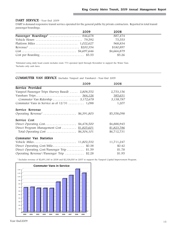#### DART SERVICE—Year-End 2009

DART is demand responsive transit service operated for the general public by private contractors. Reported in total transit passenger boardings.

|                                                                                  | 2009 | 2008        |  |
|----------------------------------------------------------------------------------|------|-------------|--|
|                                                                                  |      | 887,474     |  |
|                                                                                  |      | 75,553      |  |
|                                                                                  |      | 968,834     |  |
| Revenue <sup>2</sup> \$200,354                                                   |      | \$180,897   |  |
| $Cost \dots \dots \dots \dots \dots \dots \dots \dots \dots \dots \$ \$4,697,646 |      | \$4,664,879 |  |
|                                                                                  |      | \$5.26      |  |

1 Estimated using daily head counts includes route 773 operated April through November to support the Water Taxi. 2Includes only cash fares.

#### COMMUTER VAN SERVICE (includes Vanpool and Vanshare)—Year-End 2009

| 2009                                                                  | 2008        |  |
|-----------------------------------------------------------------------|-------------|--|
| Service Provided                                                      |             |  |
| Vanpool Passenger Trips (Survey Based)  2,808,552                     | 2,753,156   |  |
|                                                                       | 385,631     |  |
|                                                                       | 3,138,787   |  |
| Commuter Vans in Service as of $12/31$ 1,088                          | 1,207       |  |
| Service Revenue                                                       |             |  |
| Operating Revenue <sup>1</sup> \$6,391,803                            | \$5,358,098 |  |
| Service Cost                                                          |             |  |
| Direct Operating $Cost$ \$4,478,500                                   | \$4,888,945 |  |
| Direct Program Management Cost  \$1,825,601                           | \$1,823,786 |  |
| Total Operating Cost $\ldots \ldots \ldots \ldots \ldots$ \$6,304,101 | \$6,712,731 |  |
| Commuter Van Statistics                                               |             |  |
|                                                                       | 11,711,247  |  |
| \$0.38                                                                | \$0.42      |  |
| Direct Operating Cost/Passenger Trip<br>\$1.59                        | \$1.78      |  |
| Operating Revenue <sup>1</sup> /Passenger Trip<br>\$2.28              | \$1.95      |  |

1 Excludes revenue of \$2,691,180 in 2008 and \$2,328,000 in 2007 to support the Vanpool Capital Improvement Program.

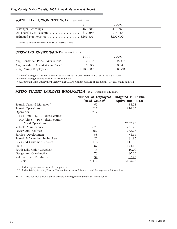#### SOUTH LAKE UNION STREETCAR—Year-End 2009

|                                               | 2009 | 2008      |
|-----------------------------------------------|------|-----------|
|                                               |      | 413,253   |
| On-Board TVM Revenue <sup>1</sup> \$77,299    |      | \$73,185  |
| Estimated Pass Revenue <sup>1</sup> \$265,536 |      | \$202,000 |

1 Excludes revenue collected from SLUS wayside TVMs

#### OPERATING ENVIRONMENT—Year-End 2009

|                                             | 2009 | 2008      |  |
|---------------------------------------------|------|-----------|--|
| Avg. Consumer Price Index $(CPI)^1$ 226.0   |      | 224.7     |  |
| Avg. Regular, Unleaded Gas $Price^2$ \$2.58 |      | \$3.41    |  |
|                                             |      | 1,216,800 |  |

<sup>1</sup> Annual average Consumer Price Index for Seattle-Tacoma-Bremerton CSMA (1982-84=100).

<sup>2</sup> Annual average, Seattle market, in 2009 dollars.

<sup>3</sup> Washington State Employment Security Dept., King County average of 12 months, not seasonally adjusted.

# METRO TRANSIT EMPLOYEE INFORMATION—as of December 31, 2009

|                                      | Number of Employees       | Budgeted Full-Time |  |
|--------------------------------------|---------------------------|--------------------|--|
|                                      | (Head Count) <sup>1</sup> | Equivalents (FTEs) |  |
| Transit General Manager <sup>2</sup> | 62                        | 64.01              |  |
| Transit Operations                   | 217                       | 216.35             |  |
| Operators                            | 2,717                     |                    |  |
| Full Time<br>1,760<br>(head count)   |                           |                    |  |
| Part Time<br>957<br>(head count)     |                           |                    |  |
| Total Operations                     |                           | 2507.20            |  |
| Vehicle Maintenance                  | 679                       | 731.72             |  |
| Power and Facilities                 | 252                       | 288.25             |  |
| Service Development                  | 68                        | 74.65              |  |
| Transit Information Technology       | 22                        | 61.65              |  |
| Sales and Customer Services          | 118                       | 111.35             |  |
| <b>LINK</b>                          | 167                       | 174.10             |  |
| South Lake Union Streetcar           | 14                        | 10.00              |  |
| Design and Construction              | 73                        | 80.00              |  |
| Rideshare and Paratransit            | 57                        | 62.75              |  |
| Total                                | 4,446                     | 4,165.68           |  |
|                                      |                           |                    |  |

<sup>1</sup> Includes regular and term-limited employees

<sup>2</sup> Includes Safety, Security, Transit Human Resources and Research and Management Information

NOTE: Does not include local police officers working intermittently as Transit police.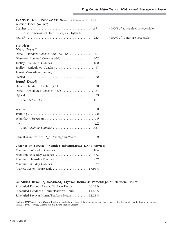| <b>TRANSIT FLEET INFORMATION</b> —as of December 31, 2009<br>Service Fleet (Active) |                                      |
|-------------------------------------------------------------------------------------|--------------------------------------|
|                                                                                     | (100% of active fleet is accessible) |
| $(1,019$ gas/diesel, 157 trolley, 275 hybrid)                                       |                                      |
|                                                                                     | (100% of routes are accessible)      |
| <b>Bus Fleet</b>                                                                    |                                      |
| Metro Transit                                                                       |                                      |
| Diesel—Standard Coaches $(30', 35', 40') \dots \dots \dots \dots$<br>604            |                                      |
|                                                                                     |                                      |
|                                                                                     |                                      |
|                                                                                     |                                      |
|                                                                                     |                                      |
|                                                                                     |                                      |
| Sound Transit                                                                       |                                      |
|                                                                                     |                                      |
|                                                                                     |                                      |
|                                                                                     |                                      |
|                                                                                     |                                      |
|                                                                                     |                                      |
|                                                                                     |                                      |
|                                                                                     |                                      |
|                                                                                     |                                      |
|                                                                                     |                                      |

Estimated Active Fleet Age (Average In Years) .......... 8.9

#### Coaches In Service (includes subcontracted DART service)

#### Scheduled Revenue, Deadhead, Layover Hours as Percentage of Platform Hours<sup>2</sup>

| Scheduled Revenue Hours/Platform Hours  66.16% |  |
|------------------------------------------------|--|
| Scheduled Deadhead Hours/Platform Hours 11.56% |  |
| Scheduled Layover Hours/Platform Hours 22.28%  |  |

1 Includes DART service and Custom Bus but excludes Sound Transit Express and Custom Bus school routes that don't operate during the summer. 2 Includes DART service, Custom Bus and Sound Transit Express.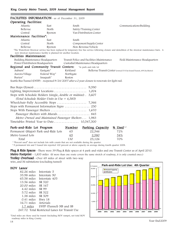| FACILITIES INFORMATION—as of December 31, 2009                  |                                                                     |                                                                                |                                                                                                   |                                                                                                                                                         |  |
|-----------------------------------------------------------------|---------------------------------------------------------------------|--------------------------------------------------------------------------------|---------------------------------------------------------------------------------------------------|---------------------------------------------------------------------------------------------------------------------------------------------------------|--|
| Operating Facilities:                                           |                                                                     |                                                                                |                                                                                                   |                                                                                                                                                         |  |
| Atlantic                                                        | East                                                                | South                                                                          |                                                                                                   | Communications Building                                                                                                                                 |  |
| Bellevue                                                        | North                                                               |                                                                                | Safety/Training Center                                                                            |                                                                                                                                                         |  |
| Central                                                         | Ryerson                                                             |                                                                                | Van Distribution Center                                                                           |                                                                                                                                                         |  |
| Maintenance Facilities*:                                        |                                                                     |                                                                                |                                                                                                   |                                                                                                                                                         |  |
| Atlantic                                                        | East                                                                | South                                                                          |                                                                                                   |                                                                                                                                                         |  |
| Central                                                         | North                                                               |                                                                                | Component Supply Center                                                                           |                                                                                                                                                         |  |
| Bellevue                                                        | Ryerson                                                             |                                                                                | Non-Revenue Vehicle                                                                               |                                                                                                                                                         |  |
|                                                                 | new streetcar maintenance facility is planned for another location. |                                                                                |                                                                                                   | *The Waterfront Streetcar service has been replaced by temporary free bus service following closure and demolition of the streetcar maintenance barn. A |  |
| Facilities Maintenance:                                         |                                                                     |                                                                                |                                                                                                   |                                                                                                                                                         |  |
| Building Maintenance Headquarters                               |                                                                     |                                                                                | Transit Police and Facilities Maintenance                                                         | Field Maintenance Headquarters                                                                                                                          |  |
| Power Distribution Headquarters                                 |                                                                     |                                                                                | Custodial Maintenance Headquarters                                                                |                                                                                                                                                         |  |
| Regional and Community Transit Centers: *in park-and-ride lot   |                                                                     |                                                                                |                                                                                                   |                                                                                                                                                         |  |
| Auburn <sup>*</sup>                                             | Eastgate*                                                           | Kirkland<br>Bellevue Transit Center (owned 51% by Sound Transit, 49% by Metro) |                                                                                                   |                                                                                                                                                         |  |
| Aurora Village                                                  | Federal Way*                                                        | Northgate                                                                      |                                                                                                   |                                                                                                                                                         |  |
| Burien*                                                         | Issaquah*                                                           | Renton                                                                         |                                                                                                   |                                                                                                                                                         |  |
|                                                                 |                                                                     |                                                                                | Seattle Bus Tunnel (DSTP) - reopened 9/24/2007 after a 2 year closure to renovate for light rail. |                                                                                                                                                         |  |
|                                                                 |                                                                     |                                                                                |                                                                                                   |                                                                                                                                                         |  |
|                                                                 |                                                                     |                                                                                |                                                                                                   |                                                                                                                                                         |  |
| Stops with Schedule Holders (single, double or midsize) . 3,607 |                                                                     |                                                                                |                                                                                                   |                                                                                                                                                         |  |
|                                                                 | (Total Schedule Holder Units in Use = $4,585$ )                     |                                                                                |                                                                                                   |                                                                                                                                                         |  |
|                                                                 |                                                                     |                                                                                |                                                                                                   |                                                                                                                                                         |  |
| Stops with Permanent Information Signs  250                     |                                                                     |                                                                                |                                                                                                   |                                                                                                                                                         |  |
|                                                                 |                                                                     |                                                                                |                                                                                                   |                                                                                                                                                         |  |
|                                                                 | Passenger Shelters with Murals 845                                  |                                                                                |                                                                                                   |                                                                                                                                                         |  |
|                                                                 |                                                                     |                                                                                |                                                                                                   |                                                                                                                                                         |  |
|                                                                 | Metro Owned and Maintained Passenger Shelters 1,983                 |                                                                                |                                                                                                   |                                                                                                                                                         |  |
|                                                                 |                                                                     |                                                                                |                                                                                                   |                                                                                                                                                         |  |
| Park-and-Ride Lot Program                                       |                                                                     | Number                                                                         | Parking Capacity                                                                                  | $%$ Used <sup>1,2</sup>                                                                                                                                 |  |
| Permanent (Major) Park-and-Ride Lots                            |                                                                     | 65                                                                             | 22,546                                                                                            | 72%                                                                                                                                                     |  |
| Metro Leased Lots                                               |                                                                     | 65                                                                             | 2,580                                                                                             | 54%                                                                                                                                                     |  |
| Total                                                           |                                                                     | 130                                                                            | 25,126                                                                                            | 70%                                                                                                                                                     |  |

<sup>1</sup> "Percent used" does not include lots with counts that are not available during the quarter.

<sup>2</sup> 9 permanent lots and 5 leased lots reported 100 percent or above capacity on average during fourth quarter 2008.

**Plug & Ride Spaces**—There were 39 Plug & Ride spaces at 4 park-and-rides and one Transit Center as of April 2010.

Metro Footprint—1,835 miles (If more than one route covers the same stretch of roadway, it is only counted once.)

Trolley Overhead—Over 69 miles of street with two-way wire, and 36 substations (excluding tunnel)

#### $HOV$  Lanes<sup>1</sup>

| 82.26 miles | Interstate 5                                |
|-------------|---------------------------------------------|
| 35.98 miles | Interstate 90                               |
| 65.58 miles | Interstate 405                              |
| 13.56 miles | SR 520                                      |
| 20.00 miles | SR 167                                      |
| 4.42 miles  | SR 99                                       |
| 5.72 miles  | SR 522                                      |
| 1.38 miles  | SR 509                                      |
| 0.41 miles  | Hwy 18                                      |
| 16.71 miles | Arterials                                   |
| 1.7 miles   | DSTP (Tunnel) NB and SB                     |
|             | 0.45 50 Telef Descripted Telese Communicate |

247.72 Total Restricted Lanes for Transit Use

1 Total miles are those used by transit (including HOV ramps), not total HOV roadway miles in King County.

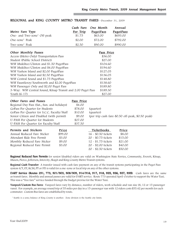| Metro Fare Type<br>One- and Two-zone <sup>1</sup> Off-peak   |         | Cash Fare<br>Per Trip<br>\$1.75 | One Month<br><b>PugetPass</b><br>\$63.00 | Annual<br><b>PugetPass</b><br>\$693.00            |
|--------------------------------------------------------------|---------|---------------------------------|------------------------------------------|---------------------------------------------------|
| One-zone <sup>1</sup> Peak                                   |         | \$2.00                          | \$72.00                                  | \$792.00                                          |
| Two-zone <sup>1</sup> Peak                                   |         | \$2.50                          | \$90.00                                  | \$990.00                                          |
| Other Monthly Passes                                         |         |                                 | Pass Price                               |                                                   |
| Access (Metro Only) Transportation Pass                      |         |                                 | \$36.00                                  |                                                   |
| Student (Public School District)                             |         |                                 | \$27.00                                  |                                                   |
| WSF Mukilteo/Clinton and \$1.50 PugetPass                    |         |                                 | \$104.60                                 |                                                   |
| WSF Mukilteo/Clinton and \$4.00 PugetPass                    |         |                                 | \$194.60                                 |                                                   |
| WSF Vashon Island and \$2.00 PugetPass                       |         |                                 | \$127.05                                 |                                                   |
| WSF Vashon Island and \$2.50 PugetPass                       |         |                                 | \$136.05                                 |                                                   |
| WSF Central Sound and \$1.75 PugetPass                       |         |                                 | \$148.80                                 |                                                   |
| WSF Fauntleroy/Southworth and \$2.00 PugetPass               |         |                                 | \$138.60                                 |                                                   |
| WSF Passenger Only and \$2.00 Puget Pass                     |         |                                 | \$189.80                                 |                                                   |
| 3-Way: WSF Central Sound, Kitsap Transit and 2.00 Puget Pass |         |                                 | \$189.30                                 |                                                   |
| Youth $(6-17)$                                               |         |                                 | \$27.00                                  |                                                   |
| Other Fares and Passes                                       |         | Pass Price                      |                                          |                                                   |
| Regional Day Pass (Sat., Sun. and holidays)                  |         | \$4.00                          |                                          |                                                   |
| GoPass Per Quarter for Students                              |         | \$78.00                         | (quarter)                                |                                                   |
| GoPass Per Quarter for S.C.C. Faculty/Staff                  |         | \$10.00                         | (quarter)                                |                                                   |
| Senior Citizen and Disabled (with permit)                    |         | \$9.00                          |                                          | (per trip cash fare-\$0.50 off-peak, \$0.50 peak) |
| U-PASS Per Quarter for Students                              |         | \$27.00                         |                                          |                                                   |
| \$37.50<br>U-PASS Per Quarter for Faculty/Staff              |         |                                 |                                          |                                                   |
| Permits and Stickers                                         | Price   |                                 | Ticketbooks                              | Price                                             |
| Annual Reduced Fare Sticker                                  | \$99.00 |                                 | 16 - \$0.50 tickets                      | \$8.00                                            |
| Attendant Ride Free Permit                                   | \$3.00  |                                 | 20 - \$0.75 tickets                      | \$15.00                                           |
| Monthly Reduced Fare Sticker                                 | \$9.00  |                                 | 12 - \$1.75 tickets                      | \$21.00                                           |
| Regional Reduced Fare Permit                                 | \$3.00  |                                 | 20 - \$2.00 tickets                      | \$40.00                                           |
|                                                              |         |                                 | 20 - \$2.50 tickets                      | \$50.00                                           |

#### REGIONAL and KING COUNTY METRO TRANSIT FARES—December 31, 2009

Regional Reduced Fare Permits for senior/disabled riders are valid on Washington State Ferries, Community, Everett, Kitsap, Mason, Pierce, Jefferson, Intercity, Skagit and King County Metro Transit systems.

Regional Cash Transfer: A transfer issued with cash fare payment on any of the transit systems participating in the Puget Pass system (CT, ET, KCM, PT or ST) is valid for a one-zone or local trip on any of the other systems.

DART Service (Routes 291, 773, 901/903, 908/909, 914/916, 917, 918, 925, 926, 927, 935): Cash fares are the same as transit fares. Monthly and annual passes are valid for DART service. Route 773 operated April-October to support the Water Taxi. This was a "free fare" service funded through the budget proviso for the Water Taxi.

Vanpool/Custom Bus Fares: Vanpool fares vary by distance, number of riders, work schedule and van size (8, 12 or 15 passenger vans). For example, an average round trip of 55 miles per day in a 15-passenger van with 12 riders costs \$55.42 per month for each commuter. Custom Bus fares are established by route.

<sup>1</sup> Seattle is a zone; balance of King County is another. Zone division is the Seattle city limits.